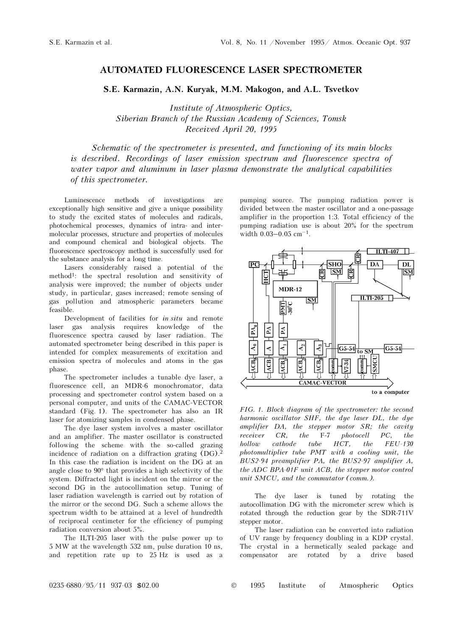## AUTOMATED FLUORESCENCE LASER SPECTROMETER

S.E. Karmazin, A.N. Kuryak, M.M. Makogon, and A.L. Tsvetkov

Institute of Atmospheric Optics, Siberian Branch of the Russian Academy of Sciences, Tomsk Received April 20, 1995

Schematic of the spectrometer is presented, and functioning of its main blocks is described. Recordings of laser emission spectrum and fluorescence spectra of water vapor and aluminum in laser plasma demonstrate the analytical capabilities of this spectrometer.

Luminescence methods of investigations are exceptionally high sensitive and give a unique possibility to study the excited states of molecules and radicals, photochemical processes, dynamics of intra- and intermolecular processes, structure and properties of molecules and compound chemical and biological objects. The fluorescence spectroscopy method is successfully used for the substance analysis for a long time.

Lasers considerably raised a potential of the method1: the spectral resolution and sensitivity of analysis were improved; the number of objects under study, in particular, gases increased; remote sensing of gas pollution and atmospheric parameters became feasible.

Development of facilities for in situ and remote laser gas analysis requires knowledge of the fluorescence spectra caused by laser radiation. The automated spectrometer being described in this paper is intended for complex measurements of excitation and emission spectra of molecules and atoms in the gas phase.

The spectrometer includes a tunable dye laser, a fluorescence cell, an MDR-6 monochromator, data processing and spectrometer control system based on a personal computer, and units of the CAMAC-VECTOR standard (Fig. 1). The spectrometer has also an IR laser for atomizing samples in condensed phase.

The dye laser system involves a master oscillator and an amplifier. The master oscillator is constructed following the scheme with the so-called grazing incidence of radiation on a diffraction grating (DG).<sup>2</sup> In this case the radiation is incident on the DG at an angle close to 90° that provides a high selectivity of the system. Diffracted light is incident on the mirror or the second DG in the autocollimation setup. Tuning of laser radiation wavelength is carried out by rotation of the mirror or the second DG. Such a scheme allows the spectrum width to be attained at a level of hundredth of reciprocal centimeter for the efficiency of pumping radiation conversion about 5%.

The ILTI-205 laser with the pulse power up to 5 MW at the wavelength 532 nm, pulse duration 10 ns, and repetition rate up to 25 Hz is used as a pumping source. The pumping radiation power is divided between the master oscillator and a one-passage<br>amplifier in the proportion 1:3. Total efficiency of the<br>pumping radiation use is about 20% for the spectrum<br>width  $0.03-0.05$  cm<sup>-1</sup>. amplifier in the proportion 1:3. Total efficiency of the pumping radiation use is about 20% for the spectrum



FIG. 1. Block diagram of the spectrometer: the second harmonic oscillator SHF, the dye laser DL, the dye amplifier DA, the stepper motor SR; the cavity receiver CR, the F-7 photocell PC, the hollow cathode tube HCT, the FEU-130 photomultiplier tube PMT with a cooling unit, the BUS2-94 preamplifier PA, the BUS2-97 amplifier A, the ADC BPA-01F unit ACB, the stepper motor control unit SMCU, and the commutator (comm.).

The dye laser is tuned by rotating the autocollimation DG with the micrometer screw which is rotated through the reduction gear by the SDR-711V stepper motor.

The laser radiation can be converted into radiation of UV range by frequency doubling in a KDP crystal. The crystal in a hermetically sealed package and compensator are rotated by a drive based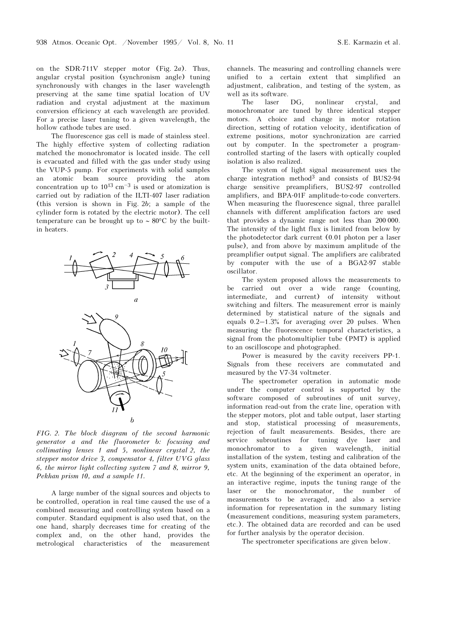on the SDR-711V stepper motor (Fig. 2a). Thus, angular crystal position (synchronism angle) tuning synchronously with changes in the laser wavelength preserving at the same time spatial location of UV radiation and crystal adjustment at the maximum conversion efficiency at each wavelength are provided. For a precise laser tuning to a given wavelength, the hollow cathode tubes are used.

The fluorescence gas cell is made of stainless steel. The highly effective system of collecting radiation matched the monochromator is located inside. The cell is evacuated and filled with the gas under study using the VUP-5 pump. For experiments with solid samples an atomic beam source providing the atom is evacuated and filled with the gas under study using<br>the VUP-5 pump. For experiments with solid samples<br>an atomic beam source providing the atom<br>concentration up to  $10^{13} \text{ cm}^{-3}$  is used or atomization is carried out by radiation of the ILTI-407 laser radiation (this version is shown in Fig. 2b; a sample of the cylinder form is rotated by the electric motor). The cell temperature can be brought up to ∼ 80°C by the builtin heaters.



FIG. 2. The block diagram of the second harmonic generator a and the fluorometer b: focusing and collimating lenses 1 and 5, nonlinear crystal 2, the stepper motor drive 3, compensator 4, filter UVG glass 6, the mirror light collecting system 7 and 8, mirror 9, Pekhan prism 10, and a sample 11.

A large number of the signal sources and objects to be controlled, operation in real time caused the use of a combined measuring and controlling system based on a computer. Standard equipment is also used that, on the one hand, sharply decreases time for creating of the complex and, on the other hand, provides the metrological characteristics of the measurement channels. The measuring and controlling channels were unified to a certain extent that simplified an adjustment, calibration, and testing of the system, as well as its software.

The laser DG, nonlinear crystal, and monochromator are tuned by three identical stepper motors. A choice and change in motor rotation direction, setting of rotation velocity, identification of extreme positions, motor synchronization are carried out by computer. In the spectrometer a programcontrolled starting of the lasers with optically coupled isolation is also realized.

The system of light signal measurement uses the charge integration method3 and consists of BUS2-94 charge sensitive preamplifiers, BUS2-97 controlled amplifiers, and BPA-01F amplitude-to-code converters. When measuring the fluorescence signal, three parallel channels with different amplification factors are used that provides a dynamic range not less than 200 000. The intensity of the light flux is limited from below by the photodetector dark current (0.01 photon per a laser pulse), and from above by maximum amplitude of the preamplifier output signal. The amplifiers are calibrated by computer with the use of a BGA2-97 stable oscillator.

The system proposed allows the measurements to be carried out over a wide range (counting, intermediate, and current) of intensity without switching and filters. The measurement error is mainly determined by statistical nature of the signals and equals 0.2–1.3% for averaging over 20 pulses. When measuring the fluorescence temporal characteristics, a signal from the photomultiplier tube (PMT) is applied to an oscilloscope and photographed.

Power is measured by the cavity receivers PP-1. Signals from these receivers are commutated and measured by the V7-34 voltmeter.

The spectrometer operation in automatic mode under the computer control is supported by the software composed of subroutines of unit survey, information read-out from the crate line, operation with the stepper motors, plot and table output, laser starting and stop, statistical processing of measurements, rejection of fault measurements. Besides, there are service subroutines for tuning dye laser and monochromator to a given wavelength, initial installation of the system, testing and calibration of the system units, examination of the data obtained before, etc. At the beginning of the experiment an operator, in an interactive regime, inputs the tuning range of the laser or the monochromator, the number of measurements to be averaged, and also a service information for representation in the summary listing (measurement conditions, measuring system parameters, etc.). The obtained data are recorded and can be used for further analysis by the operator decision.

The spectrometer specifications are given below.